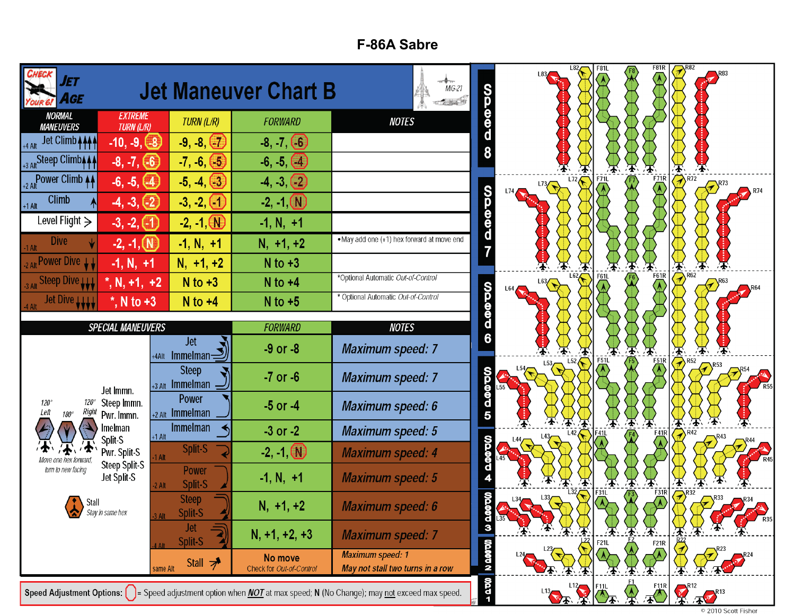## **F-86A Sabre**

| ET<br>AGE                                           |                                      |                                          | <b>Jet Maneuver Chart B</b>         | $MiG-21$<br>$-1.348$                                                                                                                                                  | <b>SOODS</b>     | L82/               | <b>F81L</b> | F81R<br>F8<br>V                        |                                                                    |
|-----------------------------------------------------|--------------------------------------|------------------------------------------|-------------------------------------|-----------------------------------------------------------------------------------------------------------------------------------------------------------------------|------------------|--------------------|-------------|----------------------------------------|--------------------------------------------------------------------|
| <b>NORMAL</b><br><b>MANEUVERS</b>                   | <b>EXTREME</b><br><b>TURN (L/R)</b>  | TURN (L/R)                               | <b>FORWARD</b>                      | <b>NOTES</b>                                                                                                                                                          |                  |                    |             |                                        |                                                                    |
| Jet Climb + + +                                     | $-10, -9, (-8)$                      | $-9, -8, (-7)$                           | $-8, -7, (6)$                       |                                                                                                                                                                       |                  |                    |             |                                        |                                                                    |
| +3 Alt Steep Climb <sub>444</sub>                   | $-8, -7, (-6)$                       | $-7, -6, (-5)$                           | $-6, -5, (4)$                       |                                                                                                                                                                       |                  |                    |             |                                        |                                                                    |
| +2 Alt Power Climb 44                               | $-6, -5, (-4)$                       | $-5, -4, (-3)$                           | $-4, -3, (-2)$                      |                                                                                                                                                                       |                  | L72<br>$L^{73}$    | F71L        | FZIR<br>$\langle \overline{A} \rangle$ | $\overline{\overline{\bigoplus}}$ $\overline{\bigoplus}$           |
| <b>Climb</b><br>$+1$ Alt                            | $-4, -3, (-2)$                       | $-3, -2, (-1)$                           | $-2, -1$ (N)                        |                                                                                                                                                                       | <b>QQQQQ</b>     |                    |             |                                        |                                                                    |
| Level Flight $\geq$                                 | $-3, -2, (1)$                        | $-2, -1, 0$                              | $-1, N, +1$                         |                                                                                                                                                                       |                  |                    |             |                                        |                                                                    |
| <b>Dive</b>                                         | $-2, -1, (N)$                        | $-1, N, +1$                              | $N, +1, +2$                         | . May add one (+1) hex forward at move end                                                                                                                            |                  |                    |             |                                        |                                                                    |
| <sub>2 Alt</sub> Power Dive LL                      | $-1, N, +1$                          | $N, +1, +2$                              | $N$ to $+3$                         |                                                                                                                                                                       |                  |                    |             | ́∱                                     | $\overline{\overline{\overline{A}}}_{R62}$                         |
| Steep Dive LLL                                      | $^*$ , N, +1, +2                     | $N$ to $+3$                              | $N$ to $+4$                         | *Optional Automatic Out-of-Control                                                                                                                                    |                  | L62Z<br>L63<br>-64 | F61L        | F61R                                   |                                                                    |
| <b>Jet Dive LLLL</b>                                | $^*$ , N to +3                       | $N$ to $+4$                              | $N$ to $+5$                         | * Optional Automatic Out-of-Control                                                                                                                                   | <b>GOODS</b>     |                    |             |                                        |                                                                    |
|                                                     | <b>SPECIAL MANEUVERS</b>             |                                          | <b>FORWARD</b>                      | <b>NOTES</b>                                                                                                                                                          |                  |                    |             |                                        |                                                                    |
|                                                     |                                      | <b>Jet</b><br>$+4$ Alt Immelman $\equiv$ | $-9$ or $-8$                        | <b>Maximum speed: 7</b>                                                                                                                                               | $\overline{6}$   |                    | $F_51L$     | ′╋                                     | ④<br>$\left\langle \right\rangle$ R52                              |
|                                                     | Jet Immn.                            | <b>Steep</b><br>+3 Alt Immelman          | $-7$ or $-6$                        | <b>Maximum speed: 7</b>                                                                                                                                               |                  | 153<br>154         |             | $\overline{51}$ R                      |                                                                    |
| $120^\circ$<br>120°<br>Left<br>Right<br>$180^\circ$ | Steep Immn.<br>Pwr. Immn.            | <b>Power</b><br>+2 Alt Immelman          | $-5$ or $-4$                        | <b>Maximum speed: 6</b>                                                                                                                                               | <b>ON DOMBO</b>  |                    |             |                                        |                                                                    |
|                                                     | melman<br>Split-S                    | <b>Immelman</b><br>$+1$ Alt              | $-3$ or $-2$                        | <b>Maximum speed: 5</b>                                                                                                                                               |                  |                    | Æ           | ′★∖<br>$\frac{F41R}{4}$                | $\boldsymbol{\overline{4}}$<br>′╋                                  |
|                                                     | Pwr. Split-S<br><b>Steep Split-S</b> | Split-S<br>1 Alt                         | $-2, -1$ $N$                        | <b>Maximum speed: 4</b>                                                                                                                                               | <b>QQQQQ</b>     |                    |             |                                        |                                                                    |
| turn to new facing                                  | Jet Split-S                          | <b>Power</b><br>Split-S<br>2 Alt         | $-1, N, +1$                         | <b>Maximum speed: 5</b>                                                                                                                                               |                  |                    | F31L        | $F_2$ <sub>1R</sub>                    | $\boldsymbol{\Psi}$                                                |
| Stall<br>$\bullet$                                  | Stay in same hex                     | <b>Steep</b><br>Split-S                  | $N, +1, +2$                         | <b>Maximum speed: 6</b>                                                                                                                                               | <b>OOO</b>       |                    |             |                                        | $\left\langle \mathcal{P}\right\rangle$ <sup>R32</sup><br>$R^{33}$ |
|                                                     |                                      | Jet<br>Split-S                           | $N, +1, +2, +3$                     | <b>Maximum speed: 7</b>                                                                                                                                               | $\frac{d}{3}$    |                    | F21L        | F21R                                   | 承                                                                  |
|                                                     |                                      | Stall $\overline{z}$<br>same Alt         | No move<br>Check for Out-of-Control | <b>Maximum speed: 1</b><br>May not stall two turns in a row                                                                                                           | <b>NO DODO N</b> |                    |             |                                        |                                                                    |
|                                                     |                                      |                                          |                                     | <b>Speed Adjustment Options:</b> $\begin{bmatrix} \ \ \end{bmatrix}$ = Speed adjustment option when <i>NOT</i> at max speed; N (No Change); may not exceed max speed. | $-200$           |                    |             |                                        | 113 12 FILL A FILE RES                                             |

© 2010 Scott Fisher